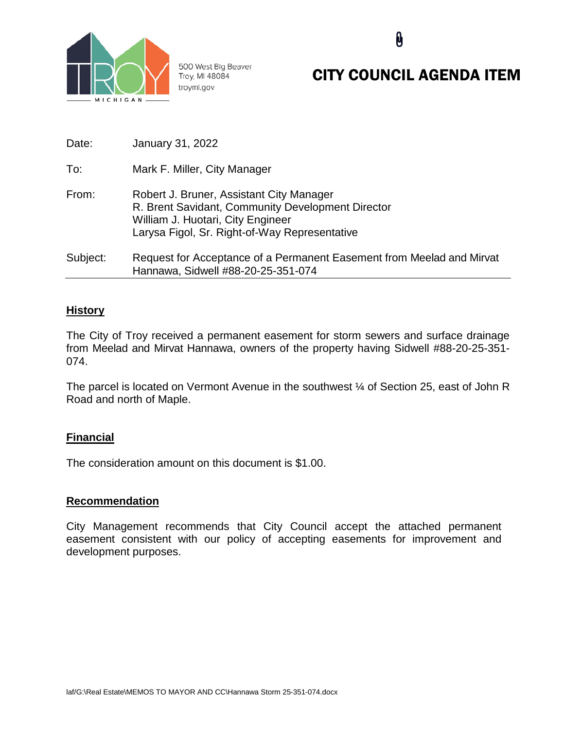

500 West Big Beaver Troy, MI 48084 troymi.gov

# CITY COUNCIL AGENDA ITEM

0

| Date:    | January 31, 2022                                                                                                                                                                    |
|----------|-------------------------------------------------------------------------------------------------------------------------------------------------------------------------------------|
| To:      | Mark F. Miller, City Manager                                                                                                                                                        |
| From:    | Robert J. Bruner, Assistant City Manager<br>R. Brent Savidant, Community Development Director<br>William J. Huotari, City Engineer<br>Larysa Figol, Sr. Right-of-Way Representative |
| Subject: | Request for Acceptance of a Permanent Easement from Meelad and Mirvat<br>Hannawa, Sidwell #88-20-25-351-074                                                                         |

### **History**

The City of Troy received a permanent easement for storm sewers and surface drainage from Meelad and Mirvat Hannawa, owners of the property having Sidwell #88-20-25-351- 074.

The parcel is located on Vermont Avenue in the southwest  $\frac{1}{4}$  of Section 25, east of John R Road and north of Maple.

## **Financial**

The consideration amount on this document is \$1.00.

#### **Recommendation**

City Management recommends that City Council accept the attached permanent easement consistent with our policy of accepting easements for improvement and development purposes.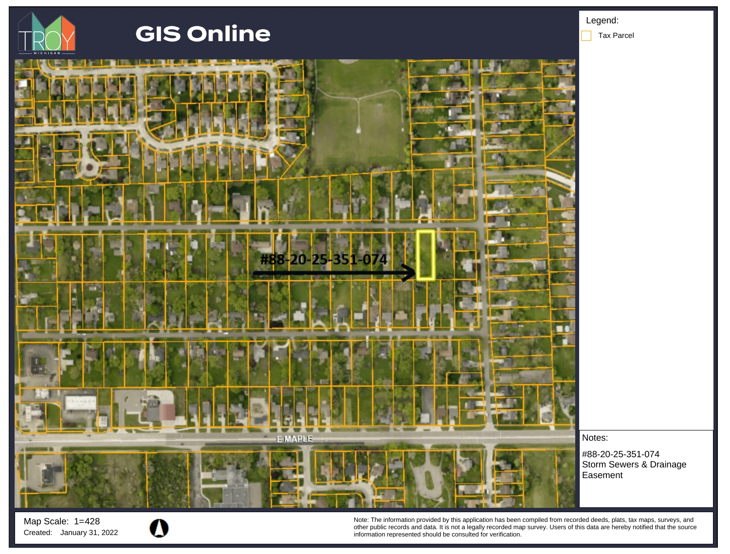

Map Scale: 1= 428



Note: The information provided by this application has been compiled from recorded deeds, plats, tax maps, surveys, and other public records and data. It is not a legally recorded map survey. Users of this data are hereby notified that the source Created: January 31, 2022 **information represented should be consulted for verification**.